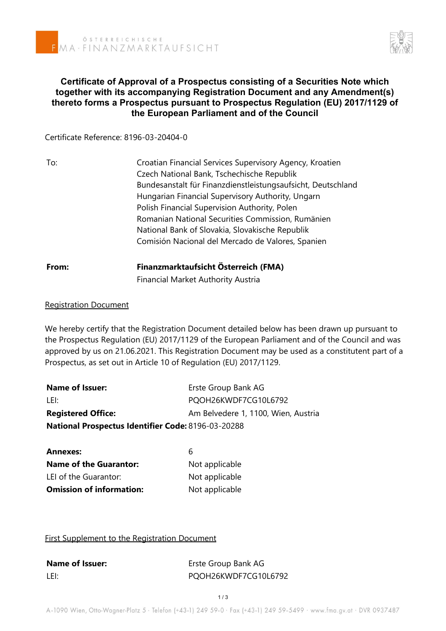

# **Certificate of Approval of a Prospectus consisting of a Securities Note which together with its accompanying Registration Document and any Amendment(s) thereto forms a Prospectus pursuant to Prospectus Regulation (EU) 2017/1129 of the European Parliament and of the Council**

Certificate Reference: 8196-03-20404-0

| To:   | Croatian Financial Services Supervisory Agency, Kroatien<br>Czech National Bank, Tschechische Republik            |  |  |
|-------|-------------------------------------------------------------------------------------------------------------------|--|--|
|       | Bundesanstalt für Finanzdienstleistungsaufsicht, Deutschland<br>Hungarian Financial Supervisory Authority, Ungarn |  |  |
|       | Polish Financial Supervision Authority, Polen                                                                     |  |  |
|       | Romanian National Securities Commission, Rumänien                                                                 |  |  |
|       | National Bank of Slovakia, Slovakische Republik                                                                   |  |  |
|       | Comisión Nacional del Mercado de Valores, Spanien                                                                 |  |  |
| From: | Finanzmarktaufsicht Österreich (FMA)                                                                              |  |  |
|       | <b>Financial Market Authority Austria</b>                                                                         |  |  |

### Registration Document

We hereby certify that the Registration Document detailed below has been drawn up pursuant to the Prospectus Regulation (EU) 2017/1129 of the European Parliament and of the Council and was approved by us on 21.06.2021. This Registration Document may be used as a constitutent part of a Prospectus, as set out in Article 10 of Regulation (EU) 2017/1129.

| <b>Name of Issuer:</b>                                    | Erste Group Bank AG                 |
|-----------------------------------------------------------|-------------------------------------|
| LEI:                                                      | PQOH26KWDF7CG10L6792                |
| <b>Registered Office:</b>                                 | Am Belvedere 1, 1100, Wien, Austria |
| <b>National Prospectus Identifier Code: 8196-03-20288</b> |                                     |

| <b>Annexes:</b>                 | h              |
|---------------------------------|----------------|
| <b>Name of the Guarantor:</b>   | Not applicable |
| LEI of the Guarantor:           | Not applicable |
| <b>Omission of information:</b> | Not applicable |

### First Supplement to the Registration Document

| <b>Name of Issuer:</b> | Erste Group Bank AG  |
|------------------------|----------------------|
| LEI:                   | PQOH26KWDF7CG10L6792 |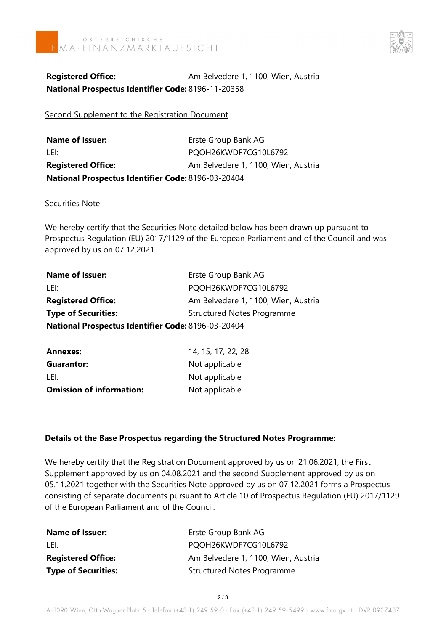



**Registered Office:** Am Belvedere 1, 1100, Wien, Austria **National Prospectus Identifier Code:** 8196-11-20358

Second Supplement to the Registration Document

**Name of Issuer:** Erste Group Bank AG LEI: PQOH26KWDF7CG10L6792 **Registered Office:** Am Belvedere 1, 1100, Wien, Austria **National Prospectus Identifier Code:** 8196-03-20404

Securities Note

We hereby certify that the Securities Note detailed below has been drawn up pursuant to Prospectus Regulation (EU) 2017/1129 of the European Parliament and of the Council and was approved by us on 07.12.2021.

| <b>Name of Issuer:</b>                             | Erste Group Bank AG                 |
|----------------------------------------------------|-------------------------------------|
| LEI:                                               | PQOH26KWDF7CG10L6792                |
| <b>Registered Office:</b>                          | Am Belvedere 1, 1100, Wien, Austria |
| <b>Type of Securities:</b>                         | <b>Structured Notes Programme</b>   |
| National Prospectus Identifier Code: 8196-03-20404 |                                     |

| <b>Annexes:</b>                 | 14, 15, 17, 22, 28 |
|---------------------------------|--------------------|
| <b>Guarantor:</b>               | Not applicable     |
| LEI:                            | Not applicable     |
| <b>Omission of information:</b> | Not applicable     |

## **Details ot the Base Prospectus regarding the Structured Notes Programme:**

We hereby certify that the Registration Document approved by us on 21.06.2021, the First Supplement approved by us on 04.08.2021 and the second Supplement approved by us on 05.11.2021 together with the Securities Note approved by us on 07.12.2021 forms a Prospectus consisting of separate documents pursuant to Article 10 of Prospectus Regulation (EU) 2017/1129 of the European Parliament and of the Council.

| <b>Name of Issuer:</b>     | Erste Group Bank AG                 |
|----------------------------|-------------------------------------|
| -LEI:                      | PQOH26KWDF7CG10L6792                |
| <b>Registered Office:</b>  | Am Belvedere 1, 1100, Wien, Austria |
| <b>Type of Securities:</b> | <b>Structured Notes Programme</b>   |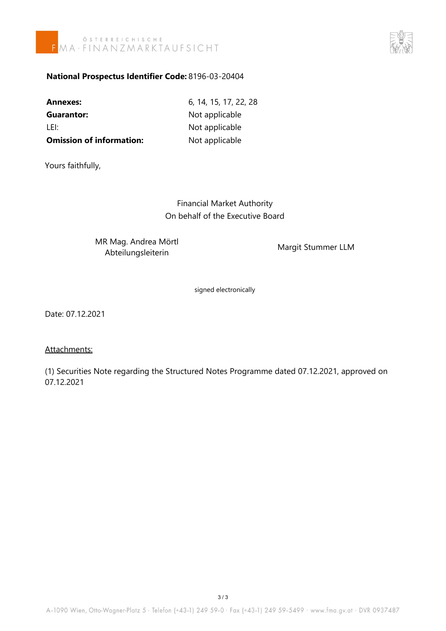



## **National Prospectus Identifier Code:** 8196-03-20404

| Annexes:                        | 6, 14, 15, 17, 22, 28 |
|---------------------------------|-----------------------|
| Guarantor:                      | Not applicable        |
| LEI:                            | Not applicable        |
| <b>Omission of information:</b> | Not applicable        |

Yours faithfully,

Financial Market Authority On behalf of the Executive Board

MR Mag. Andrea Mörtl A way. Andrea Word<br>Abteilungsleiterin Margit Stummer LLM

signed electronically

Date: 07.12.2021

### Attachments:

(1) Securities Note regarding the Structured Notes Programme dated 07.12.2021, approved on 07.12.2021